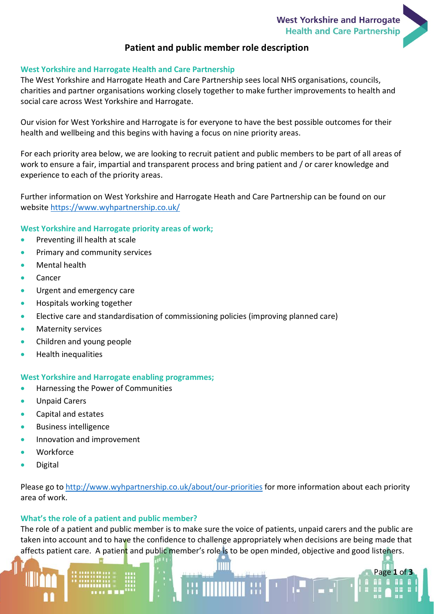**West Yorkshire and Harrogate Health and Care Partnership** 

Page **1** of **3**

# **Patient and public member role description**

## **West Yorkshire and Harrogate Health and Care Partnership**

The West Yorkshire and Harrogate Heath and Care Partnership sees local NHS organisations, councils, charities and partner organisations working closely together to make further improvements to health and social care across West Yorkshire and Harrogate.

Our vision for West Yorkshire and Harrogate is for everyone to have the best possible outcomes for their health and wellbeing and this begins with having a focus on nine priority areas.

For each priority area below, we are looking to recruit patient and public members to be part of all areas of work to ensure a fair, impartial and transparent process and bring patient and / or carer knowledge and experience to each of the priority areas.

Further information on West Yorkshire and Harrogate Heath and Care Partnership can be found on our website<https://www.wyhpartnership.co.uk/>

#### **West Yorkshire and Harrogate priority areas of work;**

- Preventing ill health at scale
- Primary and community services
- Mental health
- Cancer
- Urgent and emergency care
- Hospitals working together
- Elective care and standardisation of commissioning policies (improving planned care)
- Maternity services
- Children and young people
- Health inequalities

#### **West Yorkshire and Harrogate enabling programmes;**

- Harnessing the Power of Communities
- Unpaid Carers
- Capital and estates
- Business intelligence
- Innovation and improvement
- **Workforce**
- Digital

Please go to<http://www.wyhpartnership.co.uk/about/our-priorities> for more information about each priority area of work.

#### **What's the role of a patient and public member?**

The role of a patient and public member is to make sure the voice of patients, unpaid carers and the public are taken into account and to have the confidence to challenge appropriately when decisions are being made that affects patient care. A patient and public member's role is to be open minded, objective and good listeners.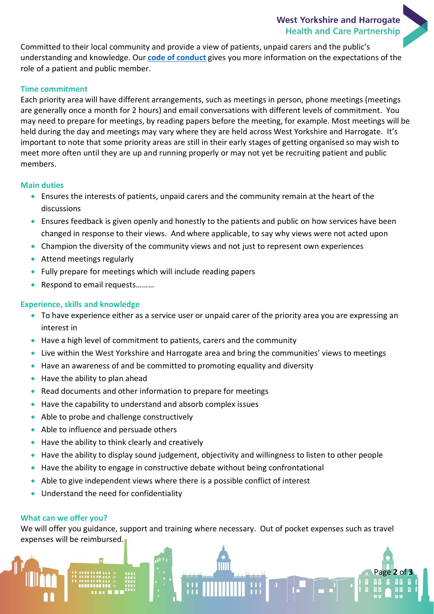**West Yorkshire and Harrogate Health and Care Partnership** 

Page **2** of **3**

Committed to their local community and provide a view of patients, unpaid carers and the public's understanding and knowledge. Our **code [of conduct](http://www.wyhpartnership.co.uk/application/files/4915/1074/9133/Code_of_conduct.pdf)** gives you more information on the expectations of the role of a patient and public member.

#### **Time commitment**

Each priority area will have different arrangements, such as meetings in person, phone meetings (meetings are generally once a month for 2 hours) and email conversations with different levels of commitment. You may need to prepare for meetings, by reading papers before the meeting, for example. Most meetings will be held during the day and meetings may vary where they are held across West Yorkshire and Harrogate. It's important to note that some priority areas are still in their early stages of getting organised so may wish to meet more often until they are up and running properly or may not yet be recruiting patient and public members.

#### **Main duties**

- Ensures the interests of patients, unpaid carers and the community remain at the heart of the discussions
- Ensures feedback is given openly and honestly to the patients and public on how services have been changed in response to their views. And where applicable, to say why views were not acted upon
- Champion the diversity of the community views and not just to represent own experiences
- Attend meetings regularly
- Fully prepare for meetings which will include reading papers
- Respond to email requests………

## **Experience, skills and knowledge**

- To have experience either as a service user or unpaid carer of the priority area you are expressing an interest in
- Have a high level of commitment to patients, carers and the community
- Live within the West Yorkshire and Harrogate area and bring the communities' views to meetings
- Have an awareness of and be committed to promoting equality and diversity
- Have the ability to plan ahead
- Read documents and other information to prepare for meetings
- Have the capability to understand and absorb complex issues
- Able to probe and challenge constructively
- Able to influence and persuade others
- Have the ability to think clearly and creatively
- Have the ability to display sound judgement, objectivity and willingness to listen to other people
- Have the ability to engage in constructive debate without being confrontational
- Able to give independent views where there is a possible conflict of interest
- Understand the need for confidentiality

## **What can we offer you?**

We will offer you guidance, support and training where necessary. Out of pocket expenses such as travel expenses will be reimbursed.